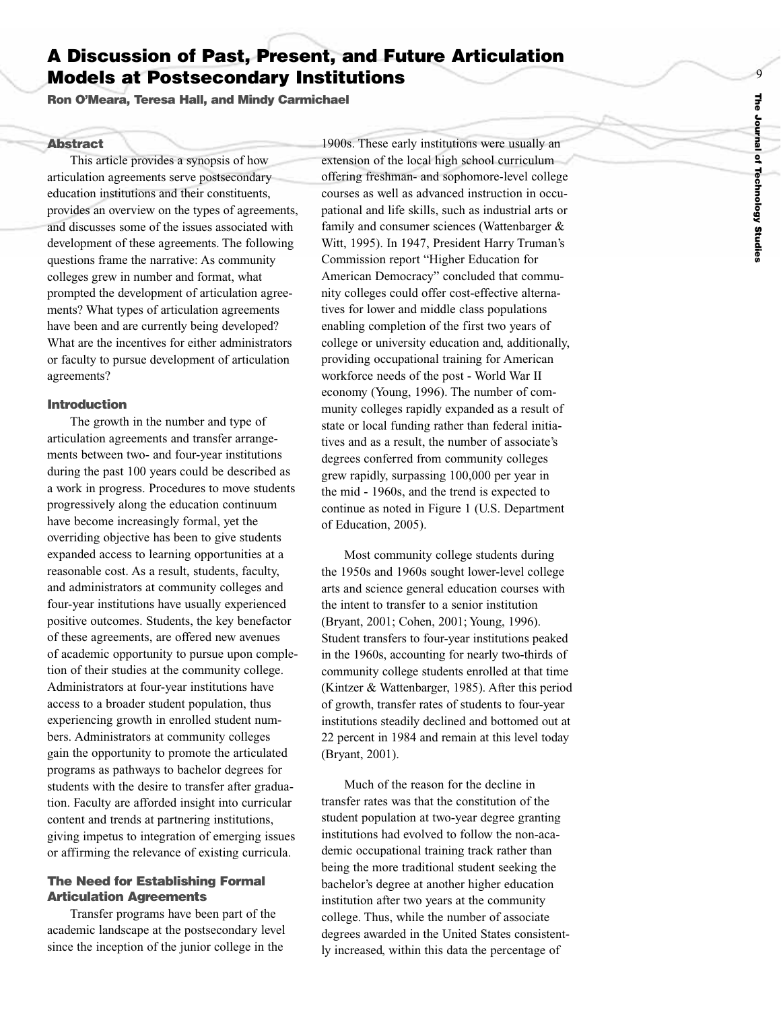# 9 **The** Journal **Journal** of **Technology** Studies **Technology Studies**

# **A Discussion of Past, Present, and Future Articulation Models at Postsecondary Institutions**

**Ron O'Meara, Teresa Hall, and Mindy Carmichael**

#### **Abstract**

This article provides a synopsis of how articulation agreements serve postsecondary education institutions and their constituents, provides an overview on the types of agreements, and discusses some of the issues associated with development of these agreements. The following questions frame the narrative: As community colleges grew in number and format, what prompted the development of articulation agreements? What types of articulation agreements have been and are currently being developed? What are the incentives for either administrators or faculty to pursue development of articulation agreements?

#### **Introduction**

The growth in the number and type of articulation agreements and transfer arrangements between two- and four-year institutions during the past 100 years could be described as a work in progress. Procedures to move students progressively along the education continuum hav e become increasingl y formal, yet the overriding objective has been to give students expanded access to learning opportunities at a reasonable cost. As a result, students, faculty, and administrators at community colleges and four-year institutions have usually experienced positive outcomes. Students, the key benefactor of these agreements, are offered new avenues of academic opportunity to pursue upon completion of their studies at the community college. Administrators at four-year institutions have access to a broader student population, thus experiencing growth in enrolled student numbers. Administrators at community colleges gain the opportunity to promote the articulated programs as pathways to bachelor degrees for students with the desire to transfer after graduation. Faculty are afforded insight into curricular content and trends at partnering institutions, giving impetus to integration of emerging issues or affirming the relevance of existing curricula.

# **The Need for Establishing Formal Articulation Agreements**

Transfer programs have been part of the academic landscape at the postsecondary level since the inception of the junior college in the

1900s. These early institutions were usually an extension of the local high school curriculum offering freshman- and sophomore-level college courses as well as advanced instruction in occupational and life skills, such as industrial arts or family and consumer sciences (Wattenbarger & Witt, 1995). In 1947, President Harry Truman's Commission report "Higher Education for American Democracy" concluded that community colleges could offer cost-effective alternatives for lower and middle class populations enabling completion of the first two years of college or university education and, additionally, providing occupational training for American workforce needs of the post - World War II economy (Young, 1996). The number of community colleges rapidly expanded as a result of state or local funding rather than federal initiatives and as a result, the number of associate's degrees conferred from community colleges grew rapidly, surpassing 100,000 per year in the mid - 1960s, and the trend is expected to continue as noted in Figure 1 (U.S. Department of Education, 2005).

Most community college students during the 1950s and 1960s sought lower-level college arts and science general education courses with the intent to transfer to a senior institution (Bryant, 2001; Cohen, 2001; Young, 1996). Student transfers to four-year institutions peaked in the 1960s, accounting for nearly two-thirds of community college students enrolled at that time (Kintzer & Wattenbarger, 1985). After this period of growth, transfer rates of students to four-year institutions steadily declined and bottomed out at 22 percent in 1984 and remain at this level today (Bryant, 2001).

Much of the reason for the decline in transfer rates was that the constitution of the student population at two-year degree granting institutions had e volved to follo w the non-academic occupational training track rather than being the more traditional student seeking the bachelor's degree at another higher education institution after two years at the community college. Thus, while the number of associate degrees awarded in the United States consistent ly increased, within this data the percentage of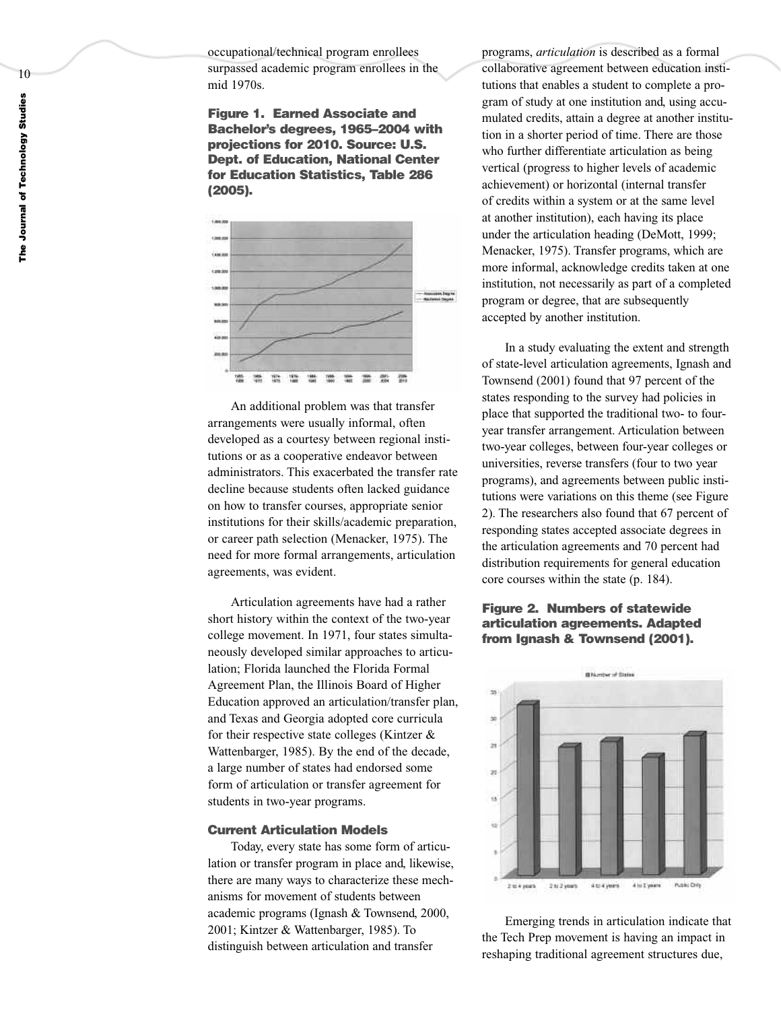occupational/technical program enrollees surpassed academic program enrollees in the mid 1970s.

**Figure 1. Earned Associate and Bachelor's degrees, 1965–2004 with projections for 2010. Source: U.S. Dept. of Education, National Center for Education Statistics, Table 286 (2005).**



An additional problem was that transfer arrangements were usually informal, often developed as a courtesy between regional institutions or as a cooperative endeavor between administrators. This exacerbated the transfer rate decline because students often lacked guidance on how to transfer courses, appropriate senior institutions for their skills/academic preparation, or career path selection (Menacker, 1975). The need for more formal arrangements, articulation agreements, was evident.

Articulation agreements have had a rather short history within the context of the two-year college movement. In 1971, four states simultaneously developed similar approaches to articulation; Florida launched the Florida Formal Agreement Plan, the Illinois Board of Higher Education approved an articulation/transfer plan, and Texas and Georgia adopted core curricula for their respective state colleges (Kintzer & Wattenbarger, 1985). By the end of the decade, a large number of states had endorsed some form of articulation or transfer agreement for students in two-year programs.

#### **Current Articulation Models**

Today, every state has some form of articulation or transfer program in place and, likewise, there are many ways to characterize these mechanisms for movement of students between academic pro grams (Ignash & Townsend, 2000, 2001; Kintzer & Wattenbarger, 1985). To distinguish between articulation and transfer

programs, *articulation* is described as a formal collaborative agreement between education institutions that enables a student to complete a program of study at one institution and, using accumulated credits, attain a degree at another institution in a shorter period of time. There are those who further differentiate articulation as being vertical (progress to higher levels of academic achievement) or horizontal (internal transfer of credits within a system or at the same level at another institution), each having its place under the articulation heading (DeMott, 1999; Menacker, 1975). Transfer programs, which are more informal, acknowledge credits taken at one institution, not necessarily as part of a completed program or degree, that are subsequently accepted by another institution.

In a study evaluating the extent and strength of state-level articulation agreements, Ignash and Townsend (2001) found that 97 percent of the states responding to the survey had policies in place that supported the traditional two- to fouryear transfer arrangement. Articulation between two-year colleges, between four-year colleges or universities, reverse transfers (four to two year programs), and agreements between public institutions were variations on this theme (see Figure 2). The researchers also found that 67 percent of responding states accepted associate de grees in the articulation agreements and 70 percent had distribution requirements for general education core courses within the state (p. 184).

# **Figure 2. Numbers of statewide articulation agreements. Adapted from Ignash & Townsend (2001).**



Emerging trends in articulation indicate that the Tech Prep movement is having an impact in reshaping traditional agreement structures due,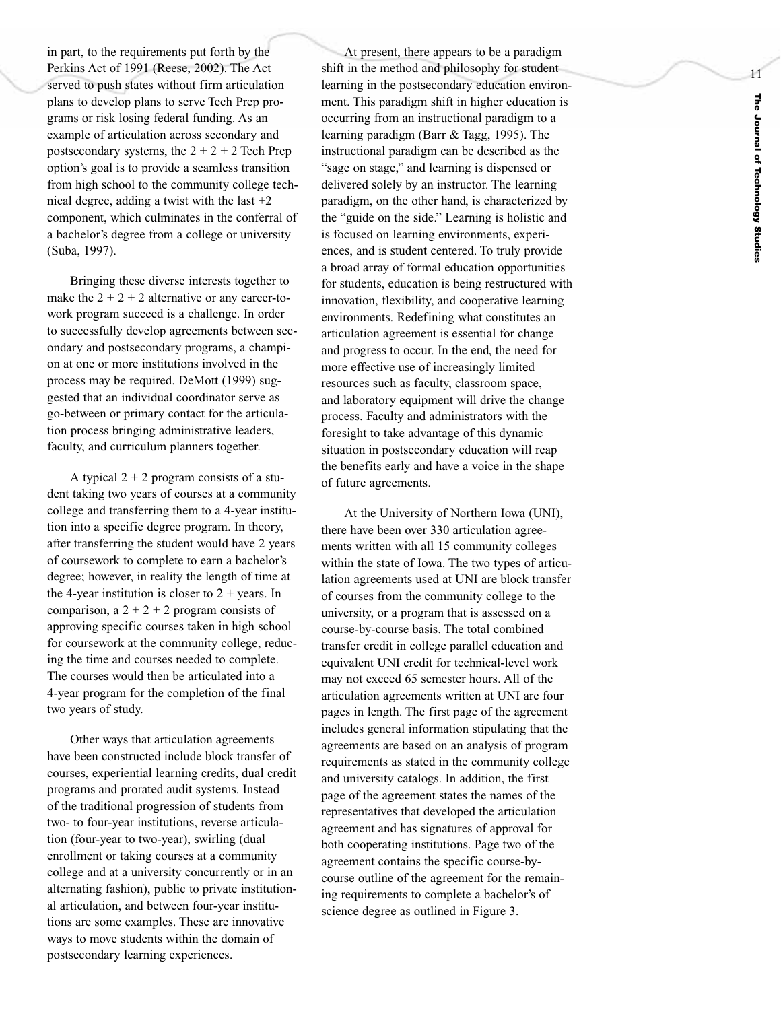i n part, to the requirements put forth by the Perkins Act of 1991 (Reese, 2002). The Act served to push states without firm articulation plans to develop plans to serve Tech Prep pro grams or risk losing federal funding. As an example of articulation across secondary and postsecondary systems, the  $2 + 2 + 2$  Tech Prep option's goal is to provide a seamless transition from high school to the community college technical degree, adding a twist with the last  $+2$ component, which culminates in the conferral of a bachelor's degree from a college or university (Suba, 1997).

Bringing these diverse interests together to make the  $2 + 2 + 2$  alternative or any career-towork program succeed is a challenge. In order to successfull y develop agreements between secondary and postsecondary programs, a champion at one or more institutions involved in the process may be required. DeMott (1999) suggested that an individual coordinator serve as go-between or primary contact for the articulation process bringing administrative leaders, faculty, and curriculum planners together.

A typical  $2 + 2$  program consists of a student taking two years of courses at a community college and transferring them to a 4-year institution into a specific degree program. In theory, after transferring the student would have 2 years of course work to complete to ear n a bachelor' s degree; however, in reality the length of time at the 4-year institution is closer to  $2 + \text{years}$ . In comparison, a  $2 + 2 + 2$  program consists of approving specific courses taken in high school for coursework at the community college, reducing the time and courses needed to complete. The courses would then be articulated into a 4-year pro gram for the completion of the final two years of study.

Other w ays that articulation agreements have been constructed include block transfer of courses, experiential learning credits, dual credit pro grams and prorated audit systems. Instead of the traditional progression of students from two- to four-year institutions, reverse articulation (four-year to two-year), swirling (dual enrollment or taking courses at a community college and at a university concurrently or in an alternating fashion), public to private institutional articulation, and between four-year institutions are some examples. These are innovative ways to move students within the domain of postsecondary learning experiences.

A t present, there appears to be a paradigm shift in the method and philosophy for student learning in the postsecondary education environ ment. This paradigm shift in higher education is occurring from an instructional paradigm to a learning paradigm (Barr & Tagg, 1995). The instructional paradigm can be described as the "sage on stage," and learning is dispensed or delivered solely by an instructor. The learning paradigm, on the other hand, is characterized by the "guide on the side." Learning is holistic and is focused on learning environments, experiences, and is student centered. To truly provide a broad array of formal education opportunities for students, education is being restructured with innovation, flexibility, and cooperative learning environments. Redefining what constitutes an articulation agreement is essential for change and progress to occur. In the end, the need for more effective use of increasingly limited resources such as faculty, classroom space, and laboratory equipment will drive the change process. Faculty and administrators with the foresight to tak e advantage of this dynamic situation in postsecondar y education will reap the benefits early and have a voice in the shape of future agreements.

At the University of Northern Iowa (UNI), there have been over 330 articulation agreements written with all 15 community colleges within the state of Iowa. The two types of articulation agreements used at UNI are block transfer of courses from the community college to the university, or a program that is assessed on a course-by-course basis. The total combined transfer credit in college parallel education and equivalent UNI credit for technical-level work may not exceed 65 semester hours. All of the articulation agreements written at UNI are four pages in length. The first page of the agreement includes general information stipulating that the agreements are based on an analysis of program requirements as stated in the community college and university catalogs. In addition, the first page of the agreement states the names of the representatives that developed the articulation agreement and has signatures of approval for both cooperating institutions. Page two of the agreement contains the specific course-bycourse outline of the agreement for the remain ing requirements to complete a bachelor's of science degree as outlined in Figure 3.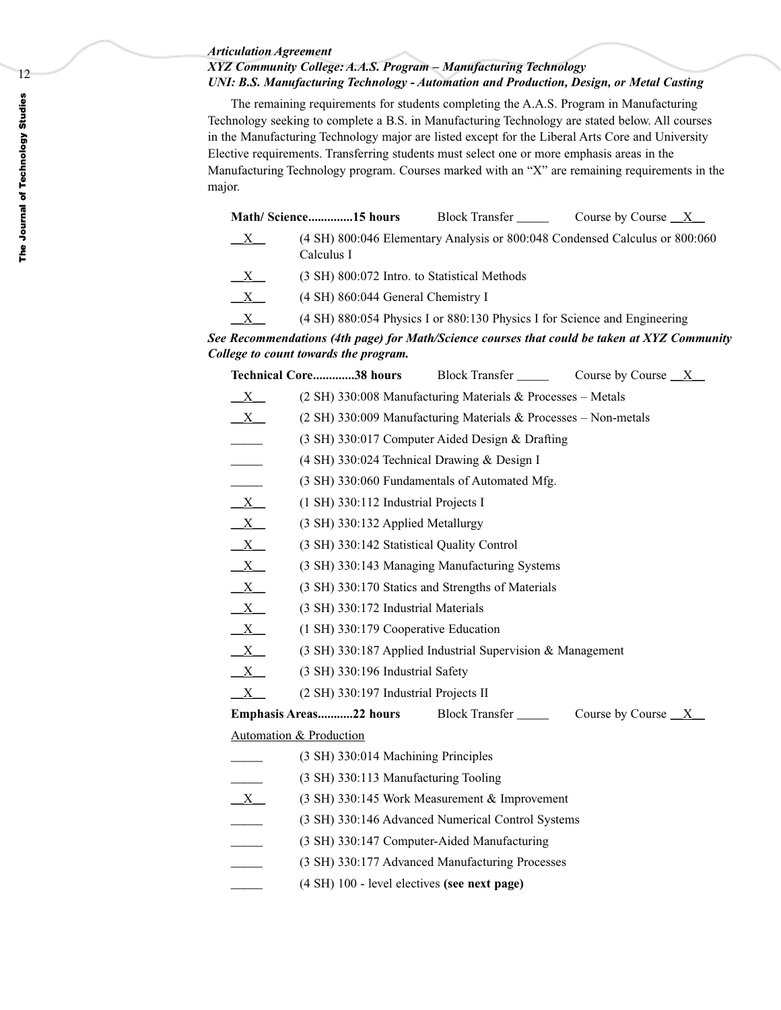#### *Articulation Agreement*

# *XYZ Community College: A.A.S. Program – Manufacturing Technology UNI: B.S. Manufacturing Technology - Automation and Production, Design, or Metal Casting*

The remaining requirements for students completing the A.A.S. Program in Manufacturing Technology seeking to complete a B.S. in Manufacturing Technology are stated below. All courses in the Manufacturing Technology major are listed except for the Liberal Arts Core and University Elective requirements. Transferring students must select one or more emphasis areas in the Manufacturing Technology program. Courses marked with an "X" are remaining requirements in the major.

|                | Math/Science15 hours                         | <b>Block Transfer</b>                                                     | Course by Course $X$                                                        |
|----------------|----------------------------------------------|---------------------------------------------------------------------------|-----------------------------------------------------------------------------|
| X              | Calculus I                                   |                                                                           | (4 SH) 800:046 Elementary Analysis or 800:048 Condensed Calculus or 800:060 |
| X              | (3 SH) 800:072 Intro. to Statistical Methods |                                                                           |                                                                             |
| $\mathbf{X}$   | (4 SH) 860:044 General Chemistry I           |                                                                           |                                                                             |
| $\overline{X}$ |                                              | (4 SH) 880:054 Physics I or 880:130 Physics I for Science and Engineering |                                                                             |

*See Recommendations (4th page) for Math/Science courses that could be taken at XYZ Community College to count towards the program.*

| Technical Core38 hours | <b>Block Transfer</b> | Course by Course |
|------------------------|-----------------------|------------------|
|------------------------|-----------------------|------------------|

- X (2 SH) 330:008 Manufacturing Materials & Processes Metals
- $\underline{X}$  (2 SH) 330:009 Manufacturing Materials & Processes Non-metals
- \_\_\_\_\_ (3 SH) 330:017 Computer Aided Design & Drafting
- $(4 \text{ SH})$  330:024 Technical Drawing & Design I
- (3 SH) 330:060 Fundamentals of Automated Mfg.
- $\underline{X}$  (1 SH) 330:112 Industrial Projects I
- $\underline{X}$  (3 SH) 330:132 Applied Metallurgy
- $\underline{X}$  (3 SH) 330:142 Statistical Quality Control
- $\underline{X}$  (3 SH) 330:143 Managing Manufacturing Systems
- $\underline{X}$  (3 SH) 330:170 Statics and Strengths of Materials
- $\underline{X}$  (3 SH) 330:172 Industrial Materials
- $\underline{X}$  (1 SH) 330:179 Cooperative Education
- $\underline{X}$  (3 SH) 330:187 Applied Industrial Supervision & Management
- $\underline{X}$  (3 SH) 330:196 Industrial Safety
- $\underline{X}$  (2 SH) 330:197 Industrial Projects II

| Emphasis Areas22 hours | <b>Block Transfer</b> | Course by Course $X$ |
|------------------------|-----------------------|----------------------|
|                        |                       |                      |

Automation & Production

- \_\_\_\_\_ (3 SH) 330:014 Machining Principles
- \_\_\_\_\_ (3 SH) 330:113 Manufacturing Tooling
- $\underline{X}$  (3 SH) 330:145 Work Measurement & Improvement
	- \_\_\_\_\_ (3 SH) 330:146 Advanced Numerical Control Systems
- \_\_\_\_\_ (3 SH) 330:147 Computer-Aided Manufacturing
- \_\_\_\_\_ (3 SH) 330:177 Advanced Manufacturing Processes
- \_\_\_\_\_ (4 SH) 100 level electives **(see next page)**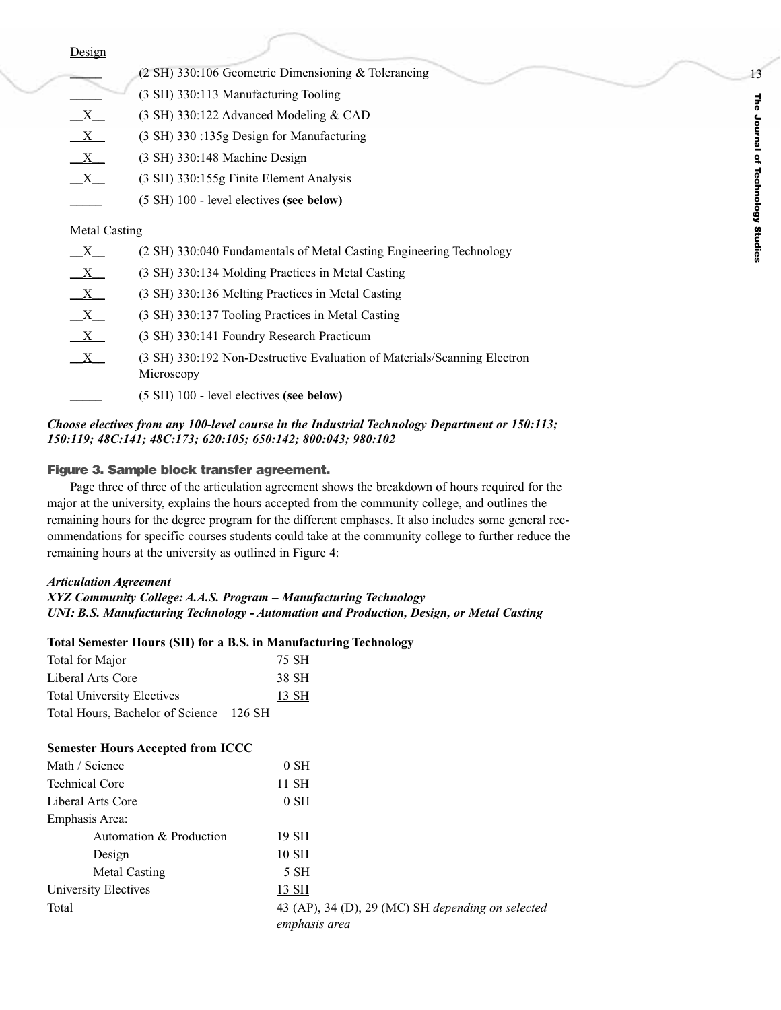|                           | (2 SH) 330:106 Geometric Dimensioning & Tolerancing                                    |
|---------------------------|----------------------------------------------------------------------------------------|
|                           | (3 SH) 330:113 Manufacturing Tooling                                                   |
| $\mathbf{X}$              | (3 SH) 330:122 Advanced Modeling & CAD                                                 |
| $\mathbf{X}$              | (3 SH) 330 :135g Design for Manufacturing                                              |
| X                         | $(3 \text{ SH})$ 330:148 Machine Design                                                |
| $\mathbf{X}$              | (3 SH) 330:155g Finite Element Analysis                                                |
|                           | (5 SH) 100 - level electives (see below)                                               |
| <b>Metal Casting</b>      |                                                                                        |
| X                         | (2 SH) 330:040 Fundamentals of Metal Casting Engineering Technology                    |
| $\mathbf{X}$              | (3 SH) 330:134 Molding Practices in Metal Casting                                      |
| $X_{-}$                   | (3 SH) 330:136 Melting Practices in Metal Casting                                      |
| $\mathbf{X}$              | (3 SH) 330:137 Tooling Practices in Metal Casting                                      |
| $\boldsymbol{\mathrm{X}}$ | (3 SH) 330:141 Foundry Research Practicum                                              |
| $\mathbf{X}$              | (3 SH) 330:192 Non-Destructive Evaluation of Materials/Scanning Electron<br>Microscopy |
|                           | (5 SH) 100 - level electives (see below)                                               |
|                           |                                                                                        |

### *Choose electives from any 100-level course in the Industrial Technology Department or 150:113; 150:119; 48C:141; 48C:173; 620:105; 650:142; 800:043; 980:102*

#### **Figure 3. Sample block transfer agreement.**

Page three of three of the articulation agreement shows the breakdown of hours required for the major at the university, explains the hours accepted from the community college, and outlines the remaining hours for the degree program for the different emphases. It also includes some general recommendations for specific courses students could take at the community college to further reduce the remaining hours at the university as outlined in Figure 4:

#### *Articulation Agreement*

*XYZ Community College: A.A.S. Program – Manufacturing Technology UNI: B.S. Manufacturing Technology - Automation and Production, Design, or Metal Casting*

#### **Total Semester Hours (SH) for a B.S. in Manufacturing Technology**

| Total for Major                         | 75 SH |
|-----------------------------------------|-------|
| Liberal Arts Core                       | 38 SH |
| <b>Total University Electives</b>       | 13 SH |
| Total Hours, Bachelor of Science 126 SH |       |

#### **Semester Hours Accepted from ICCC**

| Math / Science          | $0$ SH                                                             |
|-------------------------|--------------------------------------------------------------------|
| <b>Technical Core</b>   | 11 SH                                                              |
| Liberal Arts Core       | $0$ SH                                                             |
| Emphasis Area:          |                                                                    |
| Automation & Production | 19 SH                                                              |
| Design                  | 10 SH                                                              |
| <b>Metal Casting</b>    | 5 SH                                                               |
| University Electives    | 13 SH                                                              |
| Total                   | 43 (AP), 34 (D), 29 (MC) SH depending on selected<br>emphasis area |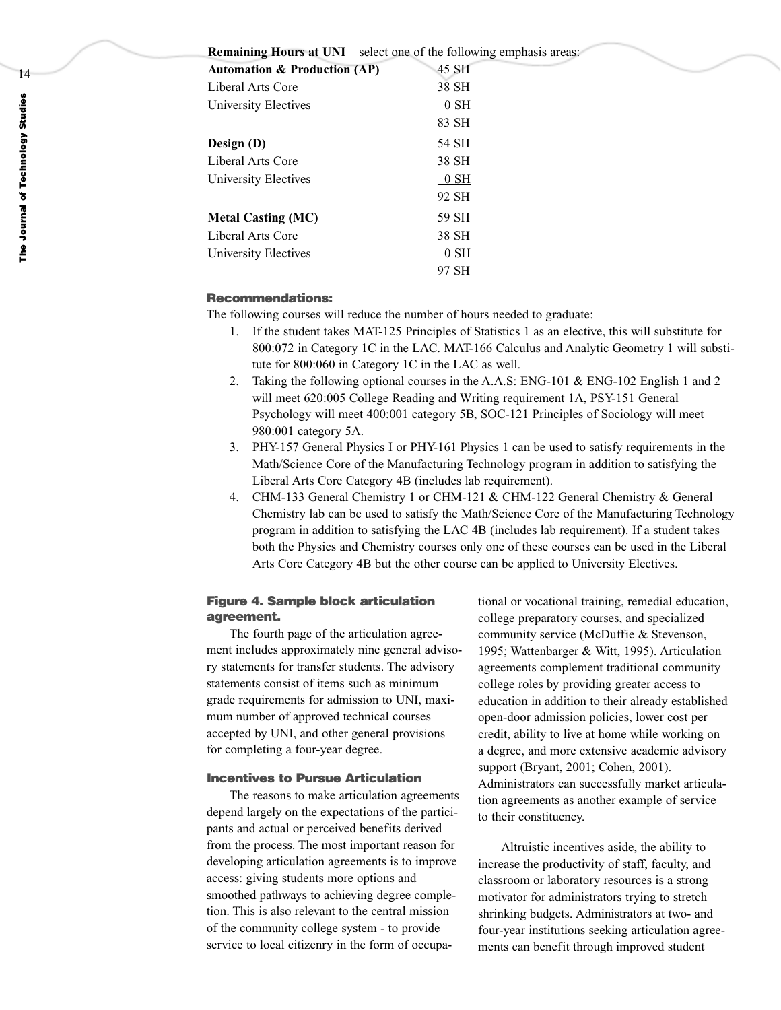#### **Remaining Hours at UNI** – select one of the following emphasis areas:

| 45 SH  |
|--------|
| 38 SH  |
| $0$ SH |
| 83 SH  |
| 54 SH  |
| 38 SH  |
| 0 SH   |
| 92 SH  |
| 59 SH  |
| 38 SH  |
| $0$ SH |
| 97 SH  |
|        |

# **Recommendations:**

The following courses will reduce the number of hours needed to graduate:

- 1. If the student takes MAT-125 Principles of Statistics 1 as an elective, this will substitute for 800:072 in Category 1C in the LAC. MAT-166 Calculus and Analytic Geometry 1 will substitute for 800:060 in Category 1C in the LAC as well.
- 2. Taking the following optional courses in the A.A.S: ENG-101 & ENG-102 English 1 and 2 will meet 620:005 College Reading and Writing requirement 1A, PSY-151 General Psychology will meet 400:001 category 5B, SOC-121 Principles of Sociology will meet 980:001 category 5A.
- 3. PHY-157 General Physics I or PHY-161 Physics 1 can be used to satisfy requirements in the Math/Science Core of the Manufacturing Technology program in addition to satisfying the Liberal Arts Core Category 4B (includes lab requirement).
- 4. CHM-133 General Chemistry 1 or CHM-121 & CHM-122 General Chemistry & General Chemistry lab can be used to satisfy the Math/Science Core of the Manufacturing Technology program in addition to satisfying the LAC 4B (includes lab requirement). If a student takes both the Physics and Chemistry courses only one of these courses can be used in the Liberal Arts Core Category 4B but the other course can be applied to University Electives.

#### **Figure 4. Sample block articulation agreement.**

The fourth page of the articulation agreement includes approximately nine general advisory statements for transfer students. The advisory statements consist of items such as minimum grade requirements for admission to UNI, maximum number of approved technical courses accepted by UNI, and other general provisions for completing a four-year degree.

# **Incentives to Pursue Articulation**

The reasons to make articulation agreements depend largely on the expectations of the participants and actual or perceived benefits derived from the process. The most important reason for developing articulation agreements is to improve access: giving students more options and smoothed pathways to achieving degree completion. This is also relevant to the central mission of the community college system - to provide service to local citizenry in the form of occupational or vocational training, remedial education, college preparatory courses, and specialized community service (McDuffie & Stevenson, 1995; Wattenbarger & Witt, 1995). Articulation agreements complement traditional community college roles by providing greater access to education in addition to their already established open-door admission policies, lower cost per credit, ability to live at home while working on a degree, and more extensive academic advisory support (Bryant, 2001; Cohen, 2001). Administrators can successfully market articulation agreements as another example of service to their constituency.

Altruistic incentives aside, the ability to increase the productivity of staff, faculty, and classroom or laboratory resources is a strong motivator for administrators trying to stretch shrinking budgets. Administrators at two- and four-year institutions seeking articulation agreements can benefit through improved student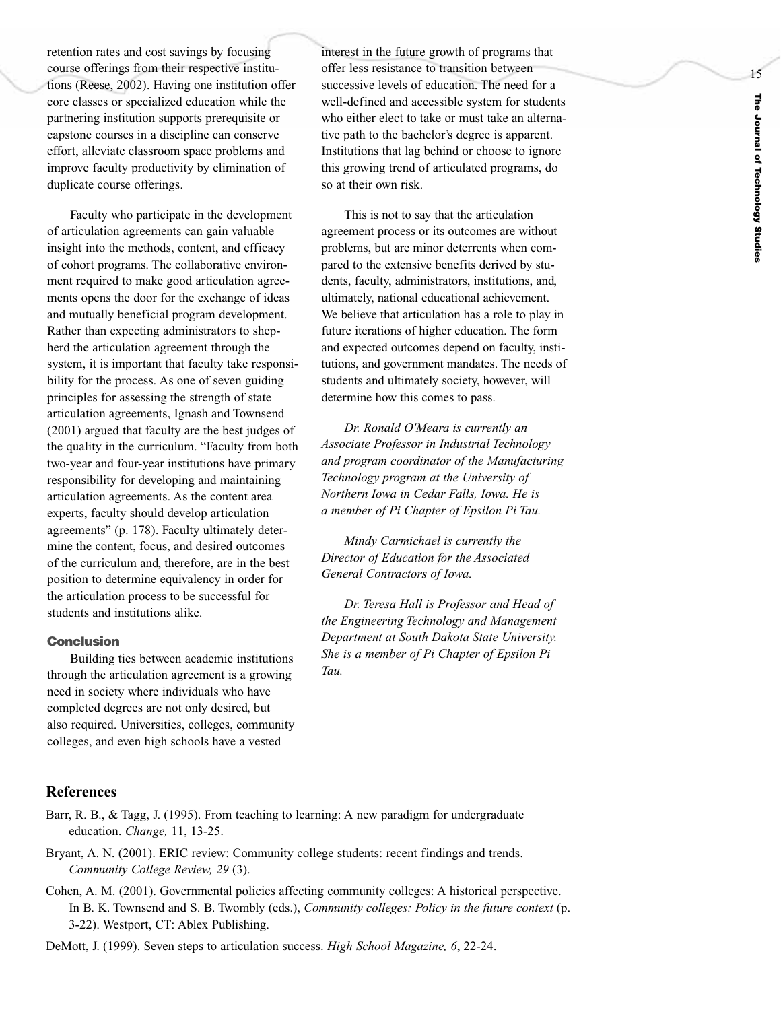retention rates and cost savings by focusing course offerings from their respective institutions (Reese, 2002). Having one institution offer core classes or specialized education while the partnering institution supports prerequisite or capstone courses in a discipline can conserve effort, alleviate classroom space problems and improve faculty productivity by elimination of duplicate course offerings.

Faculty who participate in the development of articulation agreements can gain valuable insight into the methods, content, and efficacy of cohort programs. The collaborative environment required to make good articulation agreements opens the door for the exchange of ideas and mutually beneficial program development. Rather than expecting administrators to shepherd the articulation agreement through the system, it is important that faculty take responsibility for the process. As one of seven guiding principles for assessing the strength of state articulation agreements, Ignash and Townsend (2001) argued that faculty are the best judges of the quality in the curriculum. "Faculty from both two-year and four-year institutions have primary responsibility for developing and maintaining articulation agreements. As the content area experts, faculty should develop articulation agreements" (p. 178). Faculty ultimately determine the content, focus, and desired outcomes of the curriculum and, therefore, are in the best position to determine equivalency in order for the articulation process to be successful for students and institutions alike.

# **Conclusion**

Building ties between academic institutions through the articulation agreement is a growing need in society where individuals who have completed degrees are not only desired, but also required. Universities, colleges, community colleges, and even high schools have a vested

interest in the future growth of programs that offer less resistance to transition between successive levels of education. The need for a well-defined and accessible system for students who either elect to take or must take an alternative path to the bachelor's degree is apparent. Institutions that lag behind or choose to ignore this growing trend of articulated programs, do so at their own risk.

This is not to say that the articulation agreement process or its outcomes are without problems, but are minor deterrents when compared to the extensive benefits derived by students, faculty, administrators, institutions, and, ultimately, national educational achievement. We believe that articulation has a role to play in future iterations of higher education. The form and expected outcomes depend on faculty, institutions, and government mandates. The needs of students and ultimately society, however, will determine how this comes to pass.

*Dr. Ronald O'Meara is currently an Associate Professor in Industrial Technology and program coordinator of the Manufacturing Technology program at the University of Northern Iowa in Cedar Falls, Iowa. He is a member of Pi Chapter of Epsilon Pi Tau.*

*Mindy Carmichael is currently the Director of Education for the Associated General Contractors of Io wa.* 

*Dr. Teresa Hall is Professor and Head of the Engineering Technology and Management Department at South Dakota State University. She is a member of Pi Chapter of Epsilon Pi Tau.*

# **References**

- Barr, R. B., & Tagg, J. (1995). From teaching to learning: A new paradigm for undergraduate education. *Change,* 11, 13-25.
- Bryant, A. N. (2001). ERIC review: Community college students: recent findings and trends. *Community College Revie w, 29* (3).
- Cohen, A. M. (2001). Governmental policies affecting community colleges: A historical perspective. In B. K. Townsend and S. B. Twombly (eds.), *Community colleges: Policy in the future context* (p. 3-22). Westport, CT: Ablex Publishing.

DeMott, J. (1999). Seven steps to articulation success. *High School Magazine, 6* , 22-24.